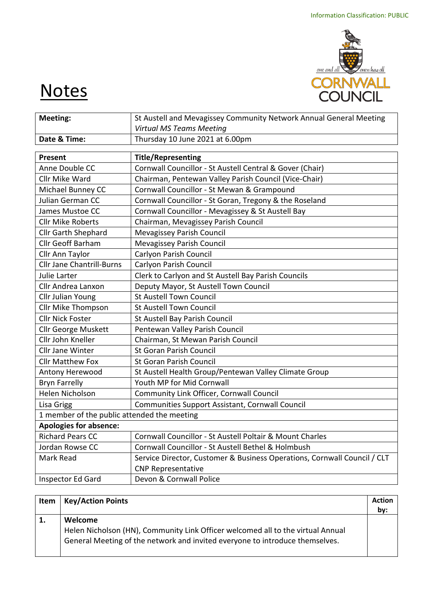

# **Notes**

| <b>Meeting:</b>                             | St Austell and Mevagissey Community Network Annual General Meeting       |  |  |  |
|---------------------------------------------|--------------------------------------------------------------------------|--|--|--|
|                                             | <b>Virtual MS Teams Meeting</b>                                          |  |  |  |
| Date & Time:                                | Thursday 10 June 2021 at 6.00pm                                          |  |  |  |
| Present                                     | <b>Title/Representing</b>                                                |  |  |  |
| Anne Double CC                              |                                                                          |  |  |  |
|                                             | Cornwall Councillor - St Austell Central & Gover (Chair)                 |  |  |  |
| Cllr Mike Ward                              | Chairman, Pentewan Valley Parish Council (Vice-Chair)                    |  |  |  |
| Michael Bunney CC                           | Cornwall Councillor - St Mewan & Grampound                               |  |  |  |
| Julian German CC                            | Cornwall Councillor - St Goran, Tregony & the Roseland                   |  |  |  |
| James Mustoe CC                             | Cornwall Councillor - Mevagissey & St Austell Bay                        |  |  |  |
| <b>Cllr Mike Roberts</b>                    | Chairman, Mevagissey Parish Council                                      |  |  |  |
| <b>Cllr Garth Shephard</b>                  | Mevagissey Parish Council                                                |  |  |  |
| <b>Cllr Geoff Barham</b>                    | Mevagissey Parish Council                                                |  |  |  |
| Cllr Ann Taylor                             | Carlyon Parish Council                                                   |  |  |  |
| <b>Cllr Jane Chantrill-Burns</b>            | Carlyon Parish Council                                                   |  |  |  |
| Julie Larter                                | Clerk to Carlyon and St Austell Bay Parish Councils                      |  |  |  |
| Cllr Andrea Lanxon                          | Deputy Mayor, St Austell Town Council                                    |  |  |  |
| Cllr Julian Young                           | <b>St Austell Town Council</b>                                           |  |  |  |
| Cllr Mike Thompson                          | <b>St Austell Town Council</b>                                           |  |  |  |
| <b>Cllr Nick Foster</b>                     | St Austell Bay Parish Council                                            |  |  |  |
| <b>Cllr George Muskett</b>                  | Pentewan Valley Parish Council                                           |  |  |  |
| Cllr John Kneller                           | Chairman, St Mewan Parish Council                                        |  |  |  |
| <b>Cllr Jane Winter</b>                     | <b>St Goran Parish Council</b>                                           |  |  |  |
| <b>Cllr Matthew Fox</b>                     | <b>St Goran Parish Council</b>                                           |  |  |  |
| Antony Herewood                             | St Austell Health Group/Pentewan Valley Climate Group                    |  |  |  |
| <b>Bryn Farrelly</b>                        | Youth MP for Mid Cornwall                                                |  |  |  |
| Helen Nicholson                             | Community Link Officer, Cornwall Council                                 |  |  |  |
| Lisa Grigg                                  | Communities Support Assistant, Cornwall Council                          |  |  |  |
| 1 member of the public attended the meeting |                                                                          |  |  |  |
| Apologies for absence:                      |                                                                          |  |  |  |
| <b>Richard Pears CC</b>                     | Cornwall Councillor - St Austell Poltair & Mount Charles                 |  |  |  |
| Jordan Rowse CC                             | Cornwall Councillor - St Austell Bethel & Holmbush                       |  |  |  |
| Mark Read                                   | Service Director, Customer & Business Operations, Cornwall Council / CLT |  |  |  |
|                                             | <b>CNP Representative</b>                                                |  |  |  |
| Inspector Ed Gard                           | Devon & Cornwall Police                                                  |  |  |  |

| Item | <b>Key/Action Points</b>                                                                                                                                        | <b>Action</b> |
|------|-----------------------------------------------------------------------------------------------------------------------------------------------------------------|---------------|
|      |                                                                                                                                                                 | by:           |
| 1.   | Welcome                                                                                                                                                         |               |
|      | Helen Nicholson (HN), Community Link Officer welcomed all to the virtual Annual<br>General Meeting of the network and invited everyone to introduce themselves. |               |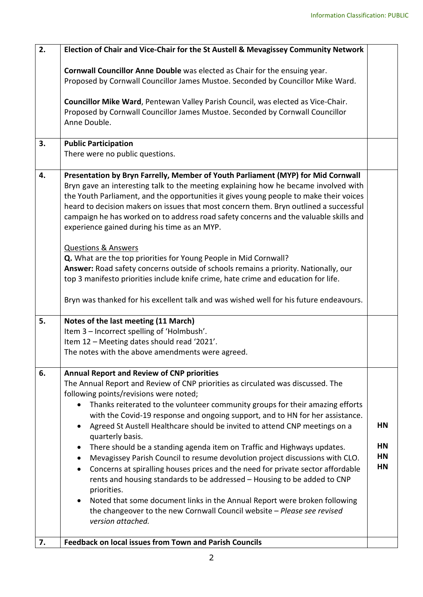| 2. | Election of Chair and Vice-Chair for the St Austell & Mevagissey Community Network                                                                                                                                                                                                                                                                                                                                                                                                                                                                                                                                                                                                                                                                                                                                                                                                                                                                                                                              |                                    |  |  |  |  |
|----|-----------------------------------------------------------------------------------------------------------------------------------------------------------------------------------------------------------------------------------------------------------------------------------------------------------------------------------------------------------------------------------------------------------------------------------------------------------------------------------------------------------------------------------------------------------------------------------------------------------------------------------------------------------------------------------------------------------------------------------------------------------------------------------------------------------------------------------------------------------------------------------------------------------------------------------------------------------------------------------------------------------------|------------------------------------|--|--|--|--|
|    | Cornwall Councillor Anne Double was elected as Chair for the ensuing year.<br>Proposed by Cornwall Councillor James Mustoe. Seconded by Councillor Mike Ward.                                                                                                                                                                                                                                                                                                                                                                                                                                                                                                                                                                                                                                                                                                                                                                                                                                                   |                                    |  |  |  |  |
|    | Councillor Mike Ward, Pentewan Valley Parish Council, was elected as Vice-Chair.<br>Proposed by Cornwall Councillor James Mustoe. Seconded by Cornwall Councillor<br>Anne Double.                                                                                                                                                                                                                                                                                                                                                                                                                                                                                                                                                                                                                                                                                                                                                                                                                               |                                    |  |  |  |  |
| 3. | <b>Public Participation</b><br>There were no public questions.                                                                                                                                                                                                                                                                                                                                                                                                                                                                                                                                                                                                                                                                                                                                                                                                                                                                                                                                                  |                                    |  |  |  |  |
| 4. | Presentation by Bryn Farrelly, Member of Youth Parliament (MYP) for Mid Cornwall<br>Bryn gave an interesting talk to the meeting explaining how he became involved with<br>the Youth Parliament, and the opportunities it gives young people to make their voices<br>heard to decision makers on issues that most concern them. Bryn outlined a successful<br>campaign he has worked on to address road safety concerns and the valuable skills and<br>experience gained during his time as an MYP.<br><b>Questions &amp; Answers</b><br>Q. What are the top priorities for Young People in Mid Cornwall?<br>Answer: Road safety concerns outside of schools remains a priority. Nationally, our                                                                                                                                                                                                                                                                                                                |                                    |  |  |  |  |
|    | top 3 manifesto priorities include knife crime, hate crime and education for life.<br>Bryn was thanked for his excellent talk and was wished well for his future endeavours.                                                                                                                                                                                                                                                                                                                                                                                                                                                                                                                                                                                                                                                                                                                                                                                                                                    |                                    |  |  |  |  |
|    |                                                                                                                                                                                                                                                                                                                                                                                                                                                                                                                                                                                                                                                                                                                                                                                                                                                                                                                                                                                                                 |                                    |  |  |  |  |
| 5. | Notes of the last meeting (11 March)<br>Item 3 - Incorrect spelling of 'Holmbush'.<br>Item 12 - Meeting dates should read '2021'.                                                                                                                                                                                                                                                                                                                                                                                                                                                                                                                                                                                                                                                                                                                                                                                                                                                                               |                                    |  |  |  |  |
|    | The notes with the above amendments were agreed.                                                                                                                                                                                                                                                                                                                                                                                                                                                                                                                                                                                                                                                                                                                                                                                                                                                                                                                                                                |                                    |  |  |  |  |
| 6. | <b>Annual Report and Review of CNP priorities</b><br>The Annual Report and Review of CNP priorities as circulated was discussed. The<br>following points/revisions were noted;<br>Thanks reiterated to the volunteer community groups for their amazing efforts<br>with the Covid-19 response and ongoing support, and to HN for her assistance.<br>Agreed St Austell Healthcare should be invited to attend CNP meetings on a<br>quarterly basis.<br>There should be a standing agenda item on Traffic and Highways updates.<br>$\bullet$<br>Mevagissey Parish Council to resume devolution project discussions with CLO.<br>$\bullet$<br>Concerns at spiralling houses prices and the need for private sector affordable<br>$\bullet$<br>rents and housing standards to be addressed - Housing to be added to CNP<br>priorities.<br>Noted that some document links in the Annual Report were broken following<br>the changeover to the new Cornwall Council website - Please see revised<br>version attached. | HN<br>HN<br><b>HN</b><br><b>HN</b> |  |  |  |  |
| 7. | <b>Feedback on local issues from Town and Parish Councils</b>                                                                                                                                                                                                                                                                                                                                                                                                                                                                                                                                                                                                                                                                                                                                                                                                                                                                                                                                                   |                                    |  |  |  |  |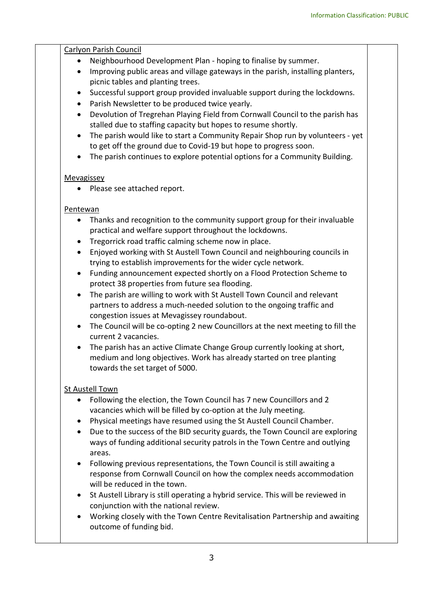### Carlyon Parish Council

- Neighbourhood Development Plan hoping to finalise by summer.
- Improving public areas and village gateways in the parish, installing planters, picnic tables and planting trees.
- Successful support group provided invaluable support during the lockdowns.
- Parish Newsletter to be produced twice yearly.
- Devolution of Tregrehan Playing Field from Cornwall Council to the parish has stalled due to staffing capacity but hopes to resume shortly.
- The parish would like to start a Community Repair Shop run by volunteers yet to get off the ground due to Covid-19 but hope to progress soon.
- The parish continues to explore potential options for a Community Building.

#### Mevagissey

• Please see attached report.

#### Pentewan

- Thanks and recognition to the community support group for their invaluable practical and welfare support throughout the lockdowns.
- Tregorrick road traffic calming scheme now in place.
- Enjoyed working with St Austell Town Council and neighbouring councils in trying to establish improvements for the wider cycle network.
- Funding announcement expected shortly on a Flood Protection Scheme to protect 38 properties from future sea flooding.
- The parish are willing to work with St Austell Town Council and relevant partners to address a much-needed solution to the ongoing traffic and congestion issues at Mevagissey roundabout.
- The Council will be co-opting 2 new Councillors at the next meeting to fill the current 2 vacancies.
- The parish has an active Climate Change Group currently looking at short, medium and long objectives. Work has already started on tree planting towards the set target of 5000.

#### St Austell Town

- Following the election, the Town Council has 7 new Councillors and 2 vacancies which will be filled by co-option at the July meeting.
- Physical meetings have resumed using the St Austell Council Chamber.
- Due to the success of the BID security guards, the Town Council are exploring ways of funding additional security patrols in the Town Centre and outlying areas.
- Following previous representations, the Town Council is still awaiting a response from Cornwall Council on how the complex needs accommodation will be reduced in the town.
- St Austell Library is still operating a hybrid service. This will be reviewed in conjunction with the national review.
- Working closely with the Town Centre Revitalisation Partnership and awaiting outcome of funding bid.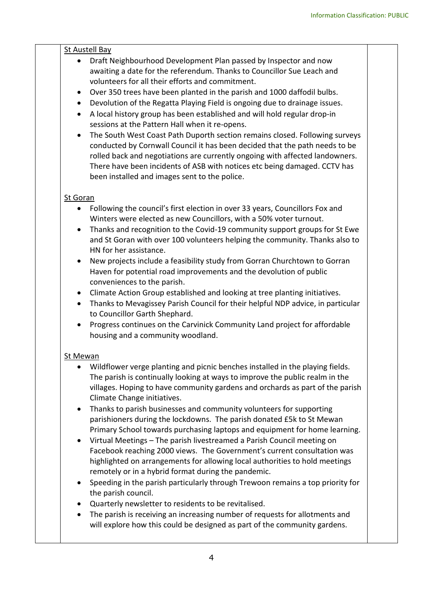## St Austell Bay

- Draft Neighbourhood Development Plan passed by Inspector and now awaiting a date for the referendum. Thanks to Councillor Sue Leach and volunteers for all their efforts and commitment.
- Over 350 trees have been planted in the parish and 1000 daffodil bulbs.
- Devolution of the Regatta Playing Field is ongoing due to drainage issues.
- A local history group has been established and will hold regular drop-in sessions at the Pattern Hall when it re-opens.
- The South West Coast Path Duporth section remains closed. Following surveys conducted by Cornwall Council it has been decided that the path needs to be rolled back and negotiations are currently ongoing with affected landowners. There have been incidents of ASB with notices etc being damaged. CCTV has been installed and images sent to the police.

#### St Goran

- Following the council's first election in over 33 years, Councillors Fox and Winters were elected as new Councillors, with a 50% voter turnout.
- Thanks and recognition to the Covid-19 community support groups for St Ewe and St Goran with over 100 volunteers helping the community. Thanks also to HN for her assistance.
- New projects include a feasibility study from Gorran Churchtown to Gorran Haven for potential road improvements and the devolution of public conveniences to the parish.
- Climate Action Group established and looking at tree planting initiatives.
- Thanks to Mevagissey Parish Council for their helpful NDP advice, in particular to Councillor Garth Shephard.
- Progress continues on the Carvinick Community Land project for affordable housing and a community woodland.

#### St Mewan

- Wildflower verge planting and picnic benches installed in the playing fields. The parish is continually looking at ways to improve the public realm in the villages. Hoping to have community gardens and orchards as part of the parish Climate Change initiatives.
- Thanks to parish businesses and community volunteers for supporting parishioners during the lockdowns. The parish donated £5k to St Mewan Primary School towards purchasing laptops and equipment for home learning.
- Virtual Meetings The parish livestreamed a Parish Council meeting on Facebook reaching 2000 views. The Government's current consultation was highlighted on arrangements for allowing local authorities to hold meetings remotely or in a hybrid format during the pandemic.
- Speeding in the parish particularly through Trewoon remains a top priority for the parish council.
- Quarterly newsletter to residents to be revitalised.
- The parish is receiving an increasing number of requests for allotments and will explore how this could be designed as part of the community gardens.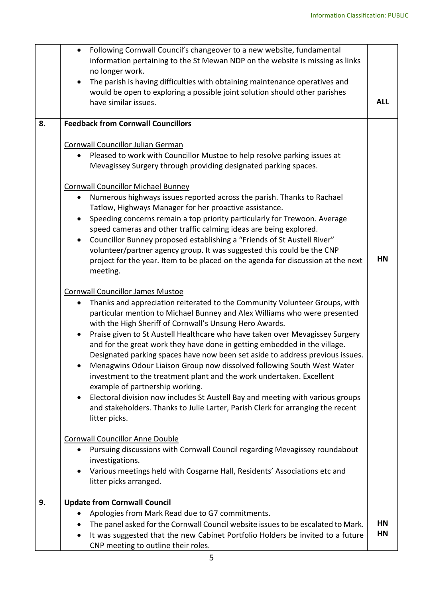|    | Following Cornwall Council's changeover to a new website, fundamental<br>information pertaining to the St Mewan NDP on the website is missing as links<br>no longer work.                                                                                                                                                                                                                                                                                                                                                                                                                                                                                                                                                                                                                                                                                                                        |            |  |  |  |
|----|--------------------------------------------------------------------------------------------------------------------------------------------------------------------------------------------------------------------------------------------------------------------------------------------------------------------------------------------------------------------------------------------------------------------------------------------------------------------------------------------------------------------------------------------------------------------------------------------------------------------------------------------------------------------------------------------------------------------------------------------------------------------------------------------------------------------------------------------------------------------------------------------------|------------|--|--|--|
|    | The parish is having difficulties with obtaining maintenance operatives and<br>$\bullet$<br>would be open to exploring a possible joint solution should other parishes<br>have similar issues.                                                                                                                                                                                                                                                                                                                                                                                                                                                                                                                                                                                                                                                                                                   | <b>ALL</b> |  |  |  |
| 8. | <b>Feedback from Cornwall Councillors</b>                                                                                                                                                                                                                                                                                                                                                                                                                                                                                                                                                                                                                                                                                                                                                                                                                                                        |            |  |  |  |
|    | <b>Cornwall Councillor Julian German</b><br>Pleased to work with Councillor Mustoe to help resolve parking issues at<br>$\bullet$<br>Mevagissey Surgery through providing designated parking spaces.                                                                                                                                                                                                                                                                                                                                                                                                                                                                                                                                                                                                                                                                                             |            |  |  |  |
|    | <b>Cornwall Councillor Michael Bunney</b><br>Numerous highways issues reported across the parish. Thanks to Rachael<br>٠<br>Tatlow, Highways Manager for her proactive assistance.<br>Speeding concerns remain a top priority particularly for Trewoon. Average<br>speed cameras and other traffic calming ideas are being explored.<br>Councillor Bunney proposed establishing a "Friends of St Austell River"<br>volunteer/partner agency group. It was suggested this could be the CNP<br>project for the year. Item to be placed on the agenda for discussion at the next<br>meeting.                                                                                                                                                                                                                                                                                                        | <b>HN</b>  |  |  |  |
|    | <b>Cornwall Councillor James Mustoe</b><br>Thanks and appreciation reiterated to the Community Volunteer Groups, with<br>٠<br>particular mention to Michael Bunney and Alex Williams who were presented<br>with the High Sheriff of Cornwall's Unsung Hero Awards.<br>Praise given to St Austell Healthcare who have taken over Mevagissey Surgery<br>and for the great work they have done in getting embedded in the village.<br>Designated parking spaces have now been set aside to address previous issues.<br>Menagwins Odour Liaison Group now dissolved following South West Water<br>investment to the treatment plant and the work undertaken. Excellent<br>example of partnership working.<br>Electoral division now includes St Austell Bay and meeting with various groups<br>٠<br>and stakeholders. Thanks to Julie Larter, Parish Clerk for arranging the recent<br>litter picks. |            |  |  |  |
|    | <b>Cornwall Councillor Anne Double</b><br>Pursuing discussions with Cornwall Council regarding Mevagissey roundabout<br>$\bullet$<br>investigations.<br>Various meetings held with Cosgarne Hall, Residents' Associations etc and<br>litter picks arranged.                                                                                                                                                                                                                                                                                                                                                                                                                                                                                                                                                                                                                                      |            |  |  |  |
| 9. | <b>Update from Cornwall Council</b><br>Apologies from Mark Read due to G7 commitments.<br>The panel asked for the Cornwall Council website issues to be escalated to Mark.<br>It was suggested that the new Cabinet Portfolio Holders be invited to a future<br>$\bullet$<br>CNP meeting to outline their roles.                                                                                                                                                                                                                                                                                                                                                                                                                                                                                                                                                                                 | HN<br>HN   |  |  |  |